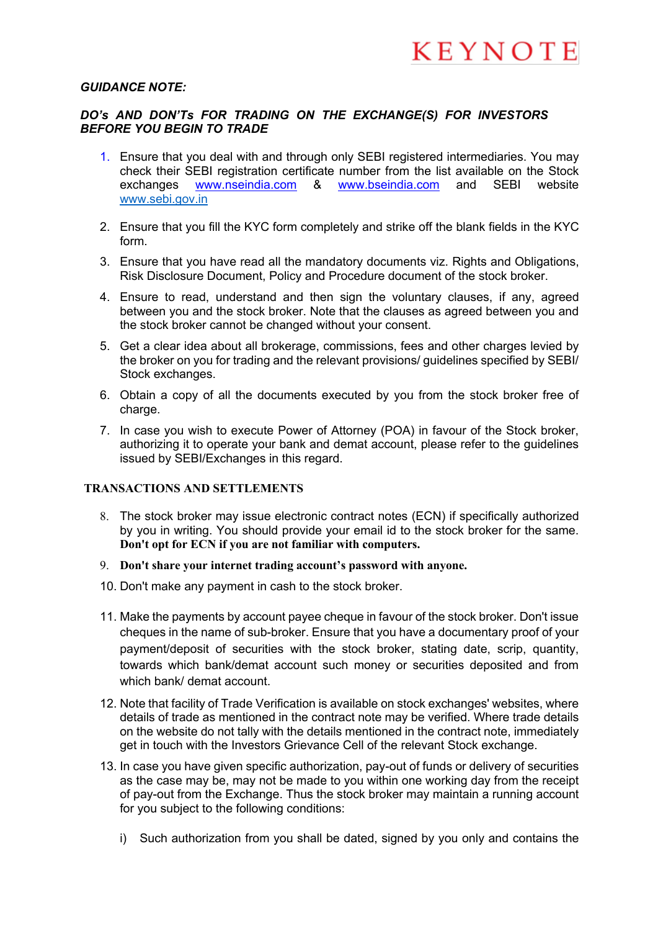#### *GUIDANCE NOTE:*

### *DO's AND DON'Ts FOR TRADING ON THE EXCHANGE(S) FOR INVESTORS BEFORE YOU BEGIN TO TRADE*

- 1. Ensure that you deal with and through only SEBI registered intermediaries. You may check their SEBI registration certificate number from the list available on the Stock exchanges www.nseindia.com & www.bseindia.com and SEBI website www.sebi.gov.in
- 2. Ensure that you fill the KYC form completely and strike off the blank fields in the KYC form.
- 3. Ensure that you have read all the mandatory documents viz. Rights and Obligations, Risk Disclosure Document, Policy and Procedure document of the stock broker.
- 4. Ensure to read, understand and then sign the voluntary clauses, if any, agreed between you and the stock broker. Note that the clauses as agreed between you and the stock broker cannot be changed without your consent.
- 5. Get a clear idea about all brokerage, commissions, fees and other charges levied by the broker on you for trading and the relevant provisions/ guidelines specified by SEBI/ Stock exchanges.
- 6. Obtain a copy of all the documents executed by you from the stock broker free of charge.
- 7. In case you wish to execute Power of Attorney (POA) in favour of the Stock broker, authorizing it to operate your bank and demat account, please refer to the guidelines issued by SEBI/Exchanges in this regard.

#### **TRANSACTIONS AND SETTLEMENTS**

- 8. The stock broker may issue electronic contract notes (ECN) if specifically authorized by you in writing. You should provide your email id to the stock broker for the same. **Don't opt for ECN if you are not familiar with computers.**
- 9. **Don't share your internet trading account's password with anyone.**
- 10. Don't make any payment in cash to the stock broker.
- 11. Make the payments by account payee cheque in favour of the stock broker. Don't issue cheques in the name of sub-broker. Ensure that you have a documentary proof of your payment/deposit of securities with the stock broker, stating date, scrip, quantity, towards which bank/demat account such money or securities deposited and from which bank/ demat account.
- 12. Note that facility of Trade Verification is available on stock exchanges' websites, where details of trade as mentioned in the contract note may be verified. Where trade details on the website do not tally with the details mentioned in the contract note, immediately get in touch with the Investors Grievance Cell of the relevant Stock exchange.
- 13. In case you have given specific authorization, pay-out of funds or delivery of securities as the case may be, may not be made to you within one working day from the receipt of pay-out from the Exchange. Thus the stock broker may maintain a running account for you subject to the following conditions:
	- i) Such authorization from you shall be dated, signed by you only and contains the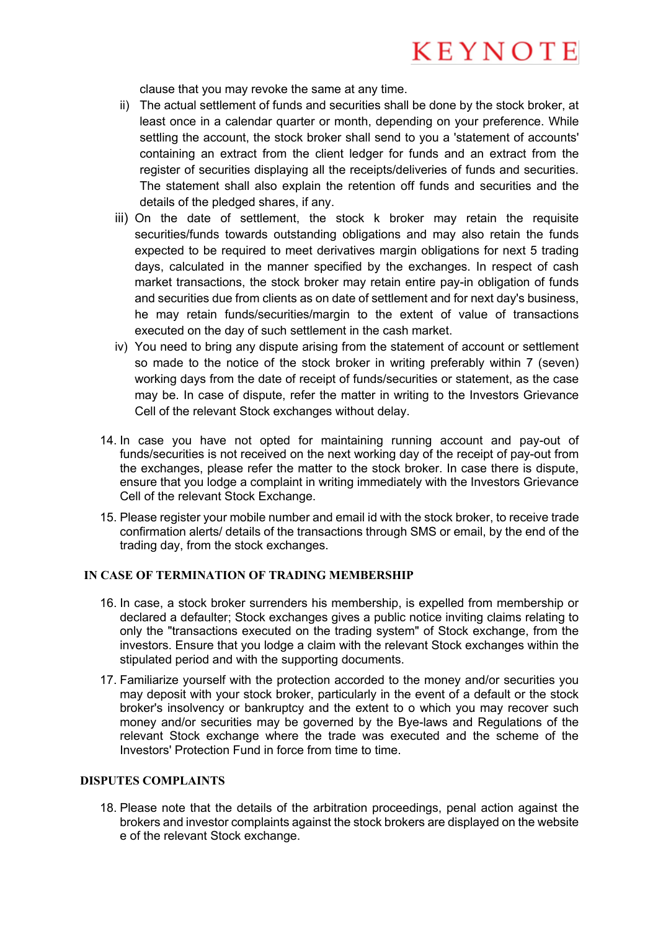clause that you may revoke the same at any time.

- ii) The actual settlement of funds and securities shall be done by the stock broker, at least once in a calendar quarter or month, depending on your preference. While settling the account, the stock broker shall send to you a 'statement of accounts' containing an extract from the client ledger for funds and an extract from the register of securities displaying all the receipts/deliveries of funds and securities. The statement shall also explain the retention off funds and securities and the details of the pledged shares, if any.
- iii) On the date of settlement, the stock k broker may retain the requisite securities/funds towards outstanding obligations and may also retain the funds expected to be required to meet derivatives margin obligations for next 5 trading days, calculated in the manner specified by the exchanges. In respect of cash market transactions, the stock broker may retain entire pay-in obligation of funds and securities due from clients as on date of settlement and for next day's business, he may retain funds/securities/margin to the extent of value of transactions executed on the day of such settlement in the cash market.
- iv) You need to bring any dispute arising from the statement of account or settlement so made to the notice of the stock broker in writing preferably within 7 (seven) working days from the date of receipt of funds/securities or statement, as the case may be. In case of dispute, refer the matter in writing to the Investors Grievance Cell of the relevant Stock exchanges without delay.
- 14. In case you have not opted for maintaining running account and pay-out of funds/securities is not received on the next working day of the receipt of pay-out from the exchanges, please refer the matter to the stock broker. In case there is dispute, ensure that you lodge a complaint in writing immediately with the Investors Grievance Cell of the relevant Stock Exchange.
- 15. Please register your mobile number and email id with the stock broker, to receive trade confirmation alerts/ details of the transactions through SMS or email, by the end of the trading day, from the stock exchanges.

## **IN CASE OF TERMINATION OF TRADING MEMBERSHIP**

- 16. In case, a stock broker surrenders his membership, is expelled from membership or declared a defaulter; Stock exchanges gives a public notice inviting claims relating to only the "transactions executed on the trading system" of Stock exchange, from the investors. Ensure that you lodge a claim with the relevant Stock exchanges within the stipulated period and with the supporting documents.
- 17. Familiarize yourself with the protection accorded to the money and/or securities you may deposit with your stock broker, particularly in the event of a default or the stock broker's insolvency or bankruptcy and the extent to o which you may recover such money and/or securities may be governed by the Bye-laws and Regulations of the relevant Stock exchange where the trade was executed and the scheme of the Investors' Protection Fund in force from time to time.

## **DISPUTES COMPLAINTS**

18. Please note that the details of the arbitration proceedings, penal action against the brokers and investor complaints against the stock brokers are displayed on the website e of the relevant Stock exchange.